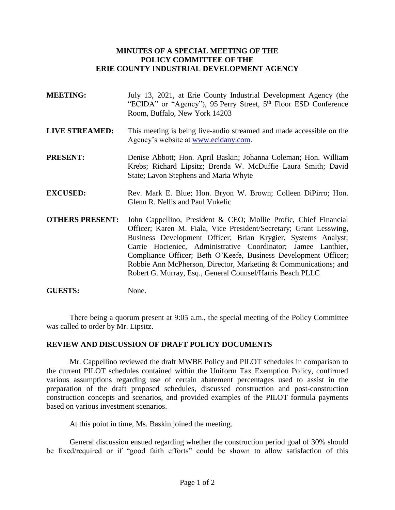## **MINUTES OF A SPECIAL MEETING OF THE POLICY COMMITTEE OF THE ERIE COUNTY INDUSTRIAL DEVELOPMENT AGENCY**

- **MEETING:** July 13, 2021, at Erie County Industrial Development Agency (the "ECIDA" or "Agency"), 95 Perry Street, 5<sup>th</sup> Floor ESD Conference Room, Buffalo, New York 14203
- **LIVE STREAMED:** This meeting is being live-audio streamed and made accessible on the Agency's website at [www.ecidany.com.](http://www.ecidany.com/)
- **PRESENT:** Denise Abbott; Hon. April Baskin; Johanna Coleman; Hon. William Krebs; Richard Lipsitz; Brenda W. McDuffie Laura Smith; David State; Lavon Stephens and Maria Whyte
- **EXCUSED:** Rev. Mark E. Blue; Hon. Bryon W. Brown; Colleen DiPirro; Hon. Glenn R. Nellis and Paul Vukelic
- **OTHERS PRESENT:** John Cappellino, President & CEO; Mollie Profic, Chief Financial Officer; Karen M. Fiala, Vice President/Secretary; Grant Lesswing, Business Development Officer; Brian Krygier, Systems Analyst; Carrie Hocieniec, Administrative Coordinator; Jamee Lanthier, Compliance Officer; Beth O'Keefe, Business Development Officer; Robbie Ann McPherson, Director, Marketing & Communications; and Robert G. Murray, Esq., General Counsel/Harris Beach PLLC
- GUESTS: None.

There being a quorum present at 9:05 a.m., the special meeting of the Policy Committee was called to order by Mr. Lipsitz.

## **REVIEW AND DISCUSSION OF DRAFT POLICY DOCUMENTS**

Mr. Cappellino reviewed the draft MWBE Policy and PILOT schedules in comparison to the current PILOT schedules contained within the Uniform Tax Exemption Policy, confirmed various assumptions regarding use of certain abatement percentages used to assist in the preparation of the draft proposed schedules, discussed construction and post-construction construction concepts and scenarios, and provided examples of the PILOT formula payments based on various investment scenarios.

At this point in time, Ms. Baskin joined the meeting.

General discussion ensued regarding whether the construction period goal of 30% should be fixed/required or if "good faith efforts" could be shown to allow satisfaction of this